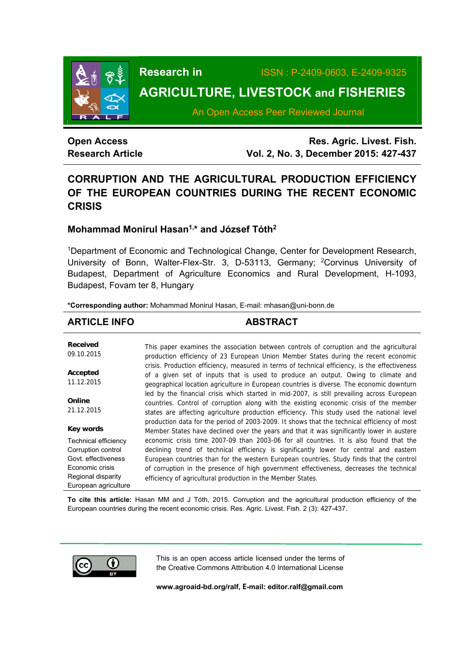

**Research in** ISSN : P-2409-0603, E-2409-9325

# **AGRICULTURE, LIVESTOCK and FISHERIES**

An Open Access Peer Reviewed Journal

## **Open Access Research Article**

**Res. Agric. Livest. Fish. Vol. 2, No. 3, December 2015: 427-437**

## **CORRUPTION AND THE AGRICULTURAL PRODUCTION EFFICIENCY OF THE EUROPEAN COUNTRIES DURING THE RECENT ECONOMIC CRISIS**

## **Mohammad Monirul Hasan1,\* and József Tóth2**

1Department of Economic and Technological Change, Center for Development Research, University of Bonn, Walter-Flex-Str. 3, D-53113, Germany; <sup>2</sup>Corvinus University of Budapest, Department of Agriculture Economics and Rural Development, H-1093, Budapest, Fovam ter 8, Hungary

**\*Corresponding author:** Mohammad Monirul Hasan, E-mail: mhasan@uni-bonn.de

## **ARTICLE INFO ABSTRACT**

**Received**  09.10.2015 **Accepted**  11.12.2015 **Online**  21.12.2015 **Key words** Technical efficiency Corruption control Govt. effectiveness Economic crisis Regional disparity European agriculture This paper examines the association between controls of corruption and the agricultural production efficiency of 23 European Union Member States during the recent economic crisis. Production efficiency, measured in terms of technical efficiency, is the effectiveness of a given set of inputs that is used to produce an output. Owing to climate and geographical location agriculture in European countries is diverse. The economic downturn led by the financial crisis which started in mid-2007, is still prevailing across European countries. Control of corruption along with the existing economic crisis of the member states are affecting agriculture production efficiency. This study used the national level production data for the period of 2003-2009. It shows that the technical efficiency of most Member States have declined over the years and that it was significantly lower in austere economic crisis time 2007-09 than 2003-06 for all countries. It is also found that the declining trend of technical efficiency is significantly lower for central and eastern European countries than for the western European countries. Study finds that the control of corruption in the presence of high government effectiveness, decreases the technical efficiency of agricultural production in the Member States.

**To cite this article:** Hasan MM and J Tóth, 2015. Corruption and the agricultural production efficiency of the European countries during the recent economic crisis. Res. Agric. Livest. Fish. 2 (3): 427-437.



This is an open access article licensed under the terms of the Creative Commons Attribution 4.0 International License

**www.agroaid-bd.org/ralf, E-mail: editor.ralf@gmail.com**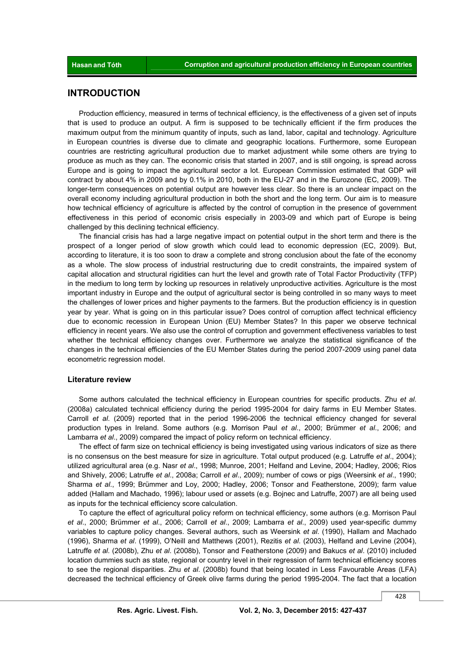### **INTRODUCTION**

Production efficiency, measured in terms of technical efficiency, is the effectiveness of a given set of inputs that is used to produce an output. A firm is supposed to be technically efficient if the firm produces the maximum output from the minimum quantity of inputs, such as land, labor, capital and technology. Agriculture in European countries is diverse due to climate and geographic locations. Furthermore, some European countries are restricting agricultural production due to market adjustment while some others are trying to produce as much as they can. The economic crisis that started in 2007, and is still ongoing, is spread across Europe and is going to impact the agricultural sector a lot. European Commission estimated that GDP will contract by about 4% in 2009 and by 0.1% in 2010, both in the EU-27 and in the Eurozone (EC, 2009). The longer-term consequences on potential output are however less clear. So there is an unclear impact on the overall economy including agricultural production in both the short and the long term. Our aim is to measure how technical efficiency of agriculture is affected by the control of corruption in the presence of government effectiveness in this period of economic crisis especially in 2003-09 and which part of Europe is being challenged by this declining technical efficiency.

The financial crisis has had a large negative impact on potential output in the short term and there is the prospect of a longer period of slow growth which could lead to economic depression (EC, 2009). But, according to literature, it is too soon to draw a complete and strong conclusion about the fate of the economy as a whole. The slow process of industrial restructuring due to credit constraints, the impaired system of capital allocation and structural rigidities can hurt the level and growth rate of Total Factor Productivity (TFP) in the medium to long term by locking up resources in relatively unproductive activities. Agriculture is the most important industry in Europe and the output of agricultural sector is being controlled in so many ways to meet the challenges of lower prices and higher payments to the farmers. But the production efficiency is in question year by year. What is going on in this particular issue? Does control of corruption affect technical efficiency due to economic recession in European Union (EU) Member States? In this paper we observe technical efficiency in recent years. We also use the control of corruption and government effectiveness variables to test whether the technical efficiency changes over. Furthermore we analyze the statistical significance of the changes in the technical efficiencies of the EU Member States during the period 2007-2009 using panel data econometric regression model.

#### **Literature review**

Some authors calculated the technical efficiency in European countries for specific products. Zhu *et al*. (2008a) calculated technical efficiency during the period 1995-2004 for dairy farms in EU Member States. Carroll *et al*. (2009) reported that in the period 1996-2006 the technical efficiency changed for several production types in Ireland. Some authors (e.g. Morrison Paul *et al*., 2000; Brümmer *et al*., 2006; and Lambarra *et al*., 2009) compared the impact of policy reform on technical efficiency.

The effect of farm size on technical efficiency is being investigated using various indicators of size as there is no consensus on the best measure for size in agriculture. Total output produced (e.g. Latruffe *et al*., 2004); utilized agricultural area (e.g. Nasr *et al*., 1998; Munroe, 2001; Helfand and Levine, 2004; Hadley, 2006; Rios and Shively, 2006; Latruffe *et al*., 2008a; Carroll *et al*., 2009); number of cows or pigs (Weersink *et al*., 1990; Sharma *et al*., 1999; Brümmer and Loy, 2000; Hadley, 2006; Tonsor and Featherstone, 2009); farm value added (Hallam and Machado, 1996); labour used or assets (e.g. Bojnec and Latruffe, 2007) are all being used as inputs for the technical efficiency score calculation.

To capture the effect of agricultural policy reform on technical efficiency, some authors (e.g. Morrison Paul *et al*., 2000; Brümmer *et al*., 2006; Carroll *et al*., 2009; Lambarra *et al*., 2009) used year-specific dummy variables to capture policy changes. Several authors, such as Weersink *et al*. (1990), Hallam and Machado (1996), Sharma *et al*. (1999), O'Neill and Matthews (2001), Rezitis *et al*. (2003), Helfand and Levine (2004), Latruffe *et al*. (2008b), Zhu *et al*. (2008b), Tonsor and Featherstone (2009) and Bakucs *et al*. (2010) included location dummies such as state, regional or country level in their regression of farm technical efficiency scores to see the regional disparities. Zhu *et al*. (2008b) found that being located in Less Favourable Areas (LFA) decreased the technical efficiency of Greek olive farms during the period 1995-2004. The fact that a location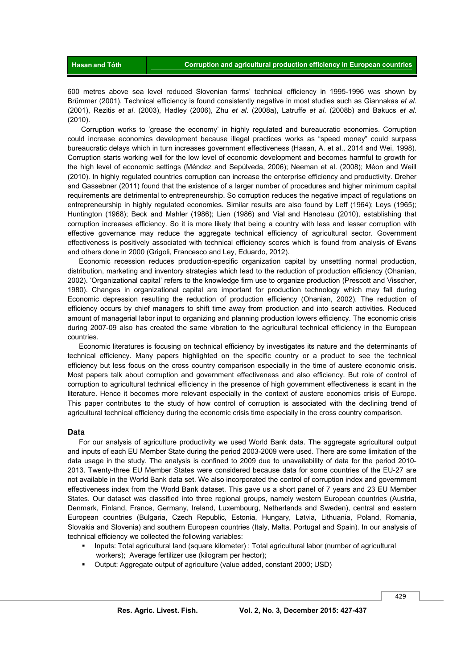600 metres above sea level reduced Slovenian farms' technical efficiency in 1995-1996 was shown by Brümmer (2001). Technical efficiency is found consistently negative in most studies such as Giannakas *et al*. (2001), Rezitis *et al*. (2003), Hadley (2006), Zhu *et al*. (2008a), Latruffe *et al*. (2008b) and Bakucs *et al*. (2010).

 Corruption works to 'grease the economy' in highly regulated and bureaucratic economies. Corruption could increase economics development because illegal practices works as "speed money" could surpass bureaucratic delays which in turn increases government effectiveness (Hasan, A. et al., 2014 and Wei, 1998). Corruption starts working well for the low level of economic development and becomes harmful to growth for the high level of economic settings (Méndez and Sepúlveda, 2006); Neeman et al. (2008); Méon and Weill (2010). In highly regulated countries corruption can increase the enterprise efficiency and productivity. Dreher and Gassebner (2011) found that the existence of a larger number of procedures and higher minimum capital requirements are detrimental to entrepreneurship. So corruption reduces the negative impact of regulations on entrepreneurship in highly regulated economies. Similar results are also found by Leff (1964); Leys (1965); Huntington (1968); Beck and Mahler (1986); Lien (1986) and Vial and Hanoteau (2010), establishing that corruption increases efficiency. So it is more likely that being a country with less and lesser corruption with effective governance may reduce the aggregate technical efficiency of agricultural sector. Government effectiveness is positively associated with technical efficiency scores which is found from analysis of Evans and others done in 2000 (Grigoli, Francesco and Ley, Eduardo, 2012).

Economic recession reduces production-specific organization capital by unsettling normal production, distribution, marketing and inventory strategies which lead to the reduction of production efficiency (Ohanian, 2002). 'Organizational capital' refers to the knowledge firm use to organize production (Prescott and Visscher, 1980). Changes in organizational capital are important for production technology which may fall during Economic depression resulting the reduction of production efficiency (Ohanian, 2002). The reduction of efficiency occurs by chief managers to shift time away from production and into search activities. Reduced amount of managerial labor input to organizing and planning production lowers efficiency. The economic crisis during 2007-09 also has created the same vibration to the agricultural technical efficiency in the European countries.

Economic literatures is focusing on technical efficiency by investigates its nature and the determinants of technical efficiency. Many papers highlighted on the specific country or a product to see the technical efficiency but less focus on the cross country comparison especially in the time of austere economic crisis. Most papers talk about corruption and government effectiveness and also efficiency. But role of control of corruption to agricultural technical efficiency in the presence of high government effectiveness is scant in the literature. Hence it becomes more relevant especially in the context of austere economics crisis of Europe. This paper contributes to the study of how control of corruption is associated with the declining trend of agricultural technical efficiency during the economic crisis time especially in the cross country comparison.

#### **Data**

For our analysis of agriculture productivity we used World Bank data. The aggregate agricultural output and inputs of each EU Member State during the period 2003-2009 were used. There are some limitation of the data usage in the study. The analysis is confined to 2009 due to unavailability of data for the period 2010- 2013. Twenty-three EU Member States were considered because data for some countries of the EU-27 are not available in the World Bank data set. We also incorporated the control of corruption index and government effectiveness index from the World Bank dataset. This gave us a short panel of 7 years and 23 EU Member States. Our dataset was classified into three regional groups, namely western European countries (Austria, Denmark, Finland, France, Germany, Ireland, Luxembourg, Netherlands and Sweden), central and eastern European countries (Bulgaria, Czech Republic, Estonia, Hungary, Latvia, Lithuania, Poland, Romania, Slovakia and Slovenia) and southern European countries (Italy, Malta, Portugal and Spain). In our analysis of technical efficiency we collected the following variables:

- Inputs: Total agricultural land (square kilometer) ; Total agricultural labor (number of agricultural workers); Average fertilizer use (kilogram per hector);
- Output: Aggregate output of agriculture (value added, constant 2000; USD)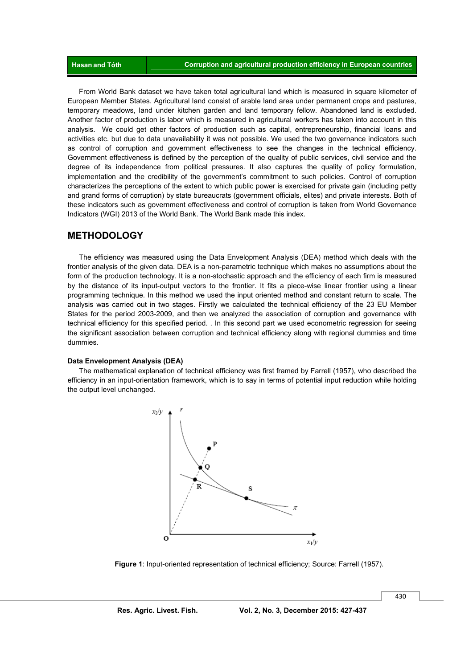From World Bank dataset we have taken total agricultural land which is measured in square kilometer of European Member States. Agricultural land consist of arable land area under permanent crops and pastures, temporary meadows, land under kitchen garden and land temporary fellow. Abandoned land is excluded. Another factor of production is labor which is measured in agricultural workers has taken into account in this analysis. We could get other factors of production such as capital, entrepreneurship, financial loans and activities etc. but due to data unavailability it was not possible. We used the two governance indicators such as control of corruption and government effectiveness to see the changes in the technical efficiency. Government effectiveness is defined by the perception of the quality of public services, civil service and the degree of its independence from political pressures. It also captures the quality of policy formulation, implementation and the credibility of the government's commitment to such policies. Control of corruption characterizes the perceptions of the extent to which public power is exercised for private gain (including petty and grand forms of corruption) by state bureaucrats (government officials, elites) and private interests. Both of these indicators such as government effectiveness and control of corruption is taken from World Governance Indicators (WGI) 2013 of the World Bank. The World Bank made this index.

#### **METHODOLOGY**

The efficiency was measured using the Data Envelopment Analysis (DEA) method which deals with the frontier analysis of the given data. DEA is a non-parametric technique which makes no assumptions about the form of the production technology. It is a non-stochastic approach and the efficiency of each firm is measured by the distance of its input-output vectors to the frontier. It fits a piece-wise linear frontier using a linear programming technique. In this method we used the input oriented method and constant return to scale. The analysis was carried out in two stages. Firstly we calculated the technical efficiency of the 23 EU Member States for the period 2003-2009, and then we analyzed the association of corruption and governance with technical efficiency for this specified period. . In this second part we used econometric regression for seeing the significant association between corruption and technical efficiency along with regional dummies and time dummies.

#### **Data Envelopment Analysis (DEA)**

The mathematical explanation of technical efficiency was first framed by Farrell (1957), who described the efficiency in an input-orientation framework, which is to say in terms of potential input reduction while holding the output level unchanged.



 **Figure 1**: Input-oriented representation of technical efficiency; Source: Farrell (1957).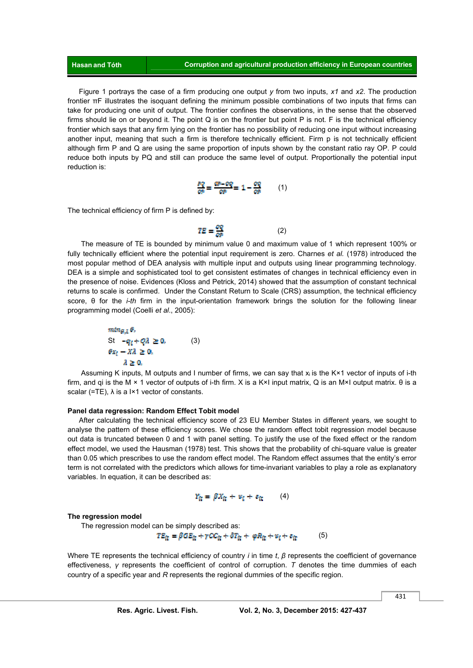Figure 1 portrays the case of a firm producing one output *y* from two inputs, *x1* and *x2*. The production frontier πF illustrates the isoquant defining the minimum possible combinations of two inputs that firms can take for producing one unit of output. The frontier confines the observations, in the sense that the observed firms should lie on or beyond it. The point Q is on the frontier but point P is not. F is the technical efficiency frontier which says that any firm lying on the frontier has no possibility of reducing one input without increasing another input, meaning that such a firm is therefore technically efficient. Firm p is not technically efficient although firm P and Q are using the same proportion of inputs shown by the constant ratio ray OP. P could reduce both inputs by PQ and still can produce the same level of output. Proportionally the potential input reduction is:

$$
\frac{pq}{qs} = \frac{qp - qq}{qs} = 1 - \frac{qq}{qs} \qquad (1)
$$

The technical efficiency of firm P is defined by:

$$
TE = \frac{\partial Q}{\partial P} \tag{2}
$$

 The measure of TE is bounded by minimum value 0 and maximum value of 1 which represent 100% or fully technically efficient where the potential input requirement is zero. Charnes *et al.* (1978) introduced the most popular method of DEA analysis with multiple input and outputs using linear programming technology. DEA is a simple and sophisticated tool to get consistent estimates of changes in technical efficiency even in the presence of noise. Evidences (Kloss and Petrick, 2014) showed that the assumption of constant technical returns to scale is confirmed. Under the Constant Return to Scale (CRS) assumption, the technical efficiency score, θ for the *i-th* firm in the input-orientation framework brings the solution for the following linear programming model (Coelli *et al*., 2005):

$$
\begin{aligned}\n\min_{\mathcal{G}, \lambda} \theta, \\
\text{St} \quad -q_i + Q\lambda \ge 0, \\
\theta x_i - \lambda \lambda \ge 0, \\
\lambda \ge 0,\n\end{aligned} \tag{3}
$$

 Assuming K inputs, M outputs and I number of firms, we can say that xi is the K×1 vector of inputs of i-th firm, and qi is the M × 1 vector of outputs of i-th firm. X is a K×I input matrix, Q is an M×I output matrix. θ is a scalar (=TE),  $\lambda$  is a I×1 vector of constants.

#### **Panel data regression: Random Effect Tobit model**

After calculating the technical efficiency score of 23 EU Member States in different years, we sought to analyse the pattern of these efficiency scores. We chose the random effect tobit regression model because out data is truncated between 0 and 1 with panel setting. To justify the use of the fixed effect or the random effect model, we used the Hausman (1978) test. This shows that the probability of chi-square value is greater than 0.05 which prescribes to use the random effect model. The Random effect assumes that the entity's error term is not correlated with the predictors which allows for time-invariant variables to play a role as explanatory variables. In equation, it can be described as:

$$
Y_{\rm ff} = \beta X_{\rm ff} + v_{\rm f} + z_{\rm ff} \qquad (4)
$$

#### **The regression model**

The regression model can be simply described as:

$$
TE_{\tilde{\mathfrak{m}}} = \beta GE_{\tilde{\mathfrak{m}}} + \gamma CC_{\tilde{\mathfrak{m}}} + \beta T_{\tilde{\mathfrak{m}}} + \varphi R_{\tilde{\mathfrak{m}}} + \omega_{\tilde{\mathfrak{l}}} + \varepsilon_{\tilde{\mathfrak{m}}} \tag{5}
$$

Where TE represents the technical efficiency of country *i* in time *t*, *β* represents the coefficient of governance effectiveness, *γ* represents the coefficient of control of corruption. *T* denotes the time dummies of each country of a specific year and *R* represents the regional dummies of the specific region.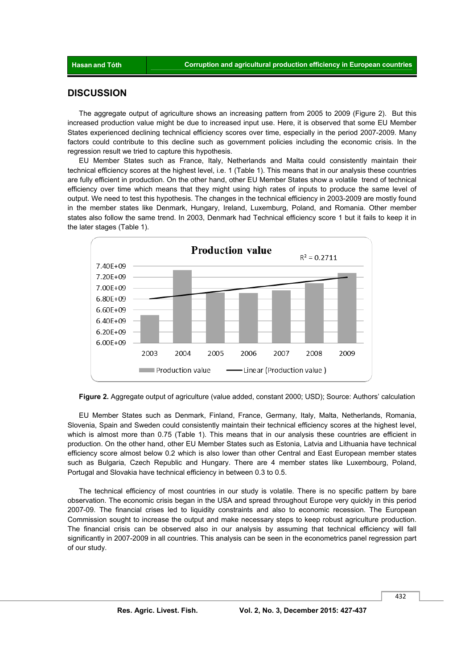#### **DISCUSSION**

The aggregate output of agriculture shows an increasing pattern from 2005 to 2009 (Figure 2). But this increased production value might be due to increased input use. Here, it is observed that some EU Member States experienced declining technical efficiency scores over time, especially in the period 2007-2009. Many factors could contribute to this decline such as government policies including the economic crisis. In the regression result we tried to capture this hypothesis.

EU Member States such as France, Italy, Netherlands and Malta could consistently maintain their technical efficiency scores at the highest level, i.e. 1 (Table 1). This means that in our analysis these countries are fully efficient in production. On the other hand, other EU Member States show a volatile trend of technical efficiency over time which means that they might using high rates of inputs to produce the same level of output. We need to test this hypothesis. The changes in the technical efficiency in 2003-2009 are mostly found in the member states like Denmark, Hungary, Ireland, Luxemburg, Poland, and Romania. Other member states also follow the same trend. In 2003, Denmark had Technical efficiency score 1 but it fails to keep it in the later stages (Table 1).



**Figure 2.** Aggregate output of agriculture (value added, constant 2000; USD); Source: Authors' calculation

EU Member States such as Denmark, Finland, France, Germany, Italy, Malta, Netherlands, Romania, Slovenia, Spain and Sweden could consistently maintain their technical efficiency scores at the highest level, which is almost more than 0.75 (Table 1). This means that in our analysis these countries are efficient in production. On the other hand, other EU Member States such as Estonia, Latvia and Lithuania have technical efficiency score almost below 0.2 which is also lower than other Central and East European member states such as Bulgaria, Czech Republic and Hungary. There are 4 member states like Luxembourg, Poland, Portugal and Slovakia have technical efficiency in between 0.3 to 0.5.

The technical efficiency of most countries in our study is volatile. There is no specific pattern by bare observation. The economic crisis began in the USA and spread throughout Europe very quickly in this period 2007-09. The financial crises led to liquidity constraints and also to economic recession. The European Commission sought to increase the output and make necessary steps to keep robust agriculture production. The financial crisis can be observed also in our analysis by assuming that technical efficiency will fall significantly in 2007-2009 in all countries. This analysis can be seen in the econometrics panel regression part of our study.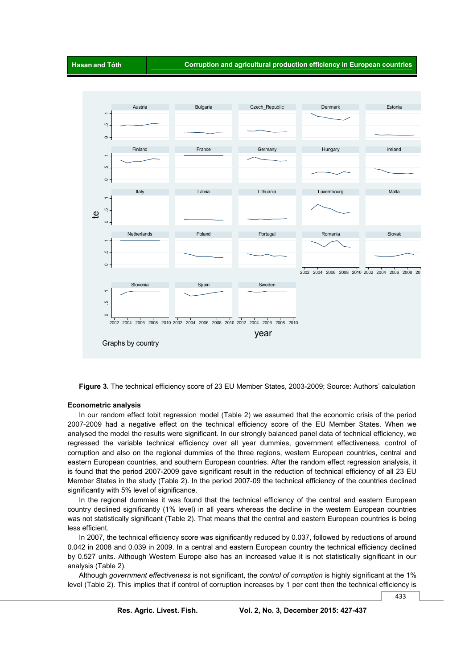

**Figure 3.** The technical efficiency score of 23 EU Member States, 2003-2009; Source: Authors' calculation

#### **Econometric analysis**

In our random effect tobit regression model (Table 2) we assumed that the economic crisis of the period 2007-2009 had a negative effect on the technical efficiency score of the EU Member States. When we analysed the model the results were significant. In our strongly balanced panel data of technical efficiency, we regressed the variable technical efficiency over all year dummies, government effectiveness, control of corruption and also on the regional dummies of the three regions, western European countries, central and eastern European countries, and southern European countries. After the random effect regression analysis, it is found that the period 2007-2009 gave significant result in the reduction of technical efficiency of all 23 EU Member States in the study (Table 2). In the period 2007-09 the technical efficiency of the countries declined significantly with 5% level of significance.

In the regional dummies it was found that the technical efficiency of the central and eastern European country declined significantly (1% level) in all years whereas the decline in the western European countries was not statistically significant (Table 2). That means that the central and eastern European countries is being less efficient.

In 2007, the technical efficiency score was significantly reduced by 0.037, followed by reductions of around 0.042 in 2008 and 0.039 in 2009. In a central and eastern European country the technical efficiency declined by 0.527 units. Although Western Europe also has an increased value it is not statistically significant in our analysis (Table 2).

Although *government effectiveness* is not significant, the *control of corruption* is highly significant at the 1% level (Table 2). This implies that if control of corruption increases by 1 per cent then the technical efficiency is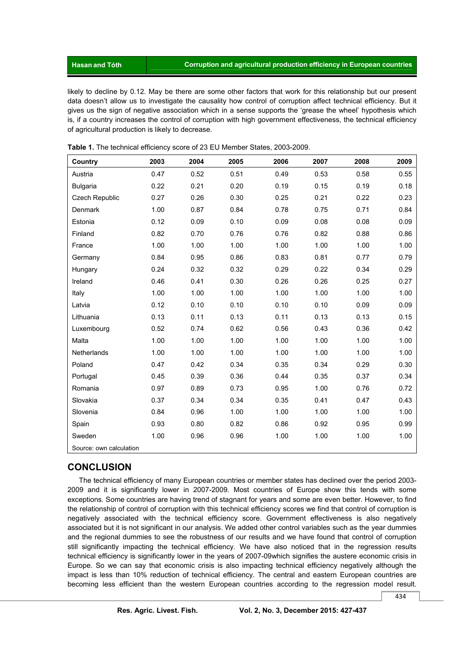likely to decline by 0.12. May be there are some other factors that work for this relationship but our present data doesn't allow us to investigate the causality how control of corruption affect technical efficiency. But it gives us the sign of negative association which in a sense supports the 'grease the wheel' hypothesis which is, if a country increases the control of corruption with high government effectiveness, the technical efficiency of agricultural production is likely to decrease.

| Country                 | 2003 | 2004 | 2005 | 2006 | 2007 | 2008 | 2009 |
|-------------------------|------|------|------|------|------|------|------|
| Austria                 | 0.47 | 0.52 | 0.51 | 0.49 | 0.53 | 0.58 | 0.55 |
| Bulgaria                | 0.22 | 0.21 | 0.20 | 0.19 | 0.15 | 0.19 | 0.18 |
| <b>Czech Republic</b>   | 0.27 | 0.26 | 0.30 | 0.25 | 0.21 | 0.22 | 0.23 |
| Denmark                 | 1.00 | 0.87 | 0.84 | 0.78 | 0.75 | 0.71 | 0.84 |
| Estonia                 | 0.12 | 0.09 | 0.10 | 0.09 | 0.08 | 0.08 | 0.09 |
| Finland                 | 0.82 | 0.70 | 0.76 | 0.76 | 0.82 | 0.88 | 0.86 |
| France                  | 1.00 | 1.00 | 1.00 | 1.00 | 1.00 | 1.00 | 1.00 |
| Germany                 | 0.84 | 0.95 | 0.86 | 0.83 | 0.81 | 0.77 | 0.79 |
| Hungary                 | 0.24 | 0.32 | 0.32 | 0.29 | 0.22 | 0.34 | 0.29 |
| Ireland                 | 0.46 | 0.41 | 0.30 | 0.26 | 0.26 | 0.25 | 0.27 |
| Italy                   | 1.00 | 1.00 | 1.00 | 1.00 | 1.00 | 1.00 | 1.00 |
| Latvia                  | 0.12 | 0.10 | 0.10 | 0.10 | 0.10 | 0.09 | 0.09 |
| Lithuania               | 0.13 | 0.11 | 0.13 | 0.11 | 0.13 | 0.13 | 0.15 |
| Luxembourg              | 0.52 | 0.74 | 0.62 | 0.56 | 0.43 | 0.36 | 0.42 |
| Malta                   | 1.00 | 1.00 | 1.00 | 1.00 | 1.00 | 1.00 | 1.00 |
| Netherlands             | 1.00 | 1.00 | 1.00 | 1.00 | 1.00 | 1.00 | 1.00 |
| Poland                  | 0.47 | 0.42 | 0.34 | 0.35 | 0.34 | 0.29 | 0.30 |
| Portugal                | 0.45 | 0.39 | 0.36 | 0.44 | 0.35 | 0.37 | 0.34 |
| Romania                 | 0.97 | 0.89 | 0.73 | 0.95 | 1.00 | 0.76 | 0.72 |
| Slovakia                | 0.37 | 0.34 | 0.34 | 0.35 | 0.41 | 0.47 | 0.43 |
| Slovenia                | 0.84 | 0.96 | 1.00 | 1.00 | 1.00 | 1.00 | 1.00 |
| Spain                   | 0.93 | 0.80 | 0.82 | 0.86 | 0.92 | 0.95 | 0.99 |
| Sweden                  | 1.00 | 0.96 | 0.96 | 1.00 | 1.00 | 1.00 | 1.00 |
| Source: own calculation |      |      |      |      |      |      |      |

**Table 1.** The technical efficiency score of 23 EU Member States, 2003-2009.

## **CONCLUSION**

The technical efficiency of many European countries or member states has declined over the period 2003- 2009 and it is significantly lower in 2007-2009. Most countries of Europe show this tends with some exceptions. Some countries are having trend of stagnant for years and some are even better. However, to find the relationship of control of corruption with this technical efficiency scores we find that control of corruption is negatively associated with the technical efficiency score. Government effectiveness is also negatively associated but it is not significant in our analysis. We added other control variables such as the year dummies and the regional dummies to see the robustness of our results and we have found that control of corruption still significantly impacting the technical efficiency. We have also noticed that in the regression results technical efficiency is significantly lower in the years of 2007-09which signifies the austere economic crisis in Europe. So we can say that economic crisis is also impacting technical efficiency negatively although the impact is less than 10% reduction of technical efficiency. The central and eastern European countries are becoming less efficient than the western European countries according to the regression model result.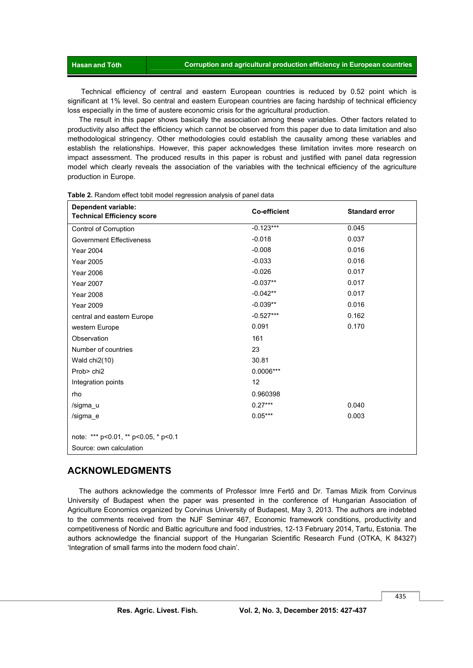Technical efficiency of central and eastern European countries is reduced by 0.52 point which is significant at 1% level. So central and eastern European countries are facing hardship of technical efficiency loss especially in the time of austere economic crisis for the agricultural production.

The result in this paper shows basically the association among these variables. Other factors related to productivity also affect the efficiency which cannot be observed from this paper due to data limitation and also methodological stringency. Other methodologies could establish the causality among these variables and establish the relationships. However, this paper acknowledges these limitation invites more research on impact assessment. The produced results in this paper is robust and justified with panel data regression model which clearly reveals the association of the variables with the technical efficiency of the agriculture production in Europe.

| <b>Dependent variable:</b><br><b>Technical Efficiency score</b> | <b>Co-efficient</b> | <b>Standard error</b> |  |  |  |  |
|-----------------------------------------------------------------|---------------------|-----------------------|--|--|--|--|
| Control of Corruption                                           | $-0.123***$         | 0.045                 |  |  |  |  |
| <b>Government Effectiveness</b>                                 | $-0.018$            | 0.037                 |  |  |  |  |
| <b>Year 2004</b>                                                | $-0.008$            | 0.016                 |  |  |  |  |
| <b>Year 2005</b>                                                | $-0.033$            | 0.016                 |  |  |  |  |
| <b>Year 2006</b>                                                | $-0.026$            | 0.017                 |  |  |  |  |
| <b>Year 2007</b>                                                | $-0.037**$          | 0.017                 |  |  |  |  |
| <b>Year 2008</b>                                                | $-0.042**$          | 0.017                 |  |  |  |  |
| <b>Year 2009</b>                                                | $-0.039**$          | 0.016                 |  |  |  |  |
| central and eastern Europe                                      | $-0.527***$         | 0.162                 |  |  |  |  |
| western Europe                                                  | 0.091               | 0.170                 |  |  |  |  |
| Observation                                                     | 161                 |                       |  |  |  |  |
| Number of countries                                             | 23                  |                       |  |  |  |  |
| Wald $chi2(10)$                                                 | 30.81               |                       |  |  |  |  |
| Prob> chi2                                                      | $0.0006***$         |                       |  |  |  |  |
| Integration points                                              | 12                  |                       |  |  |  |  |
| rho                                                             | 0.960398            |                       |  |  |  |  |
| /sigma_u                                                        | $0.27***$           | 0.040                 |  |  |  |  |
| /sigma e                                                        | $0.05***$           | 0.003                 |  |  |  |  |
| note: *** p<0.01, ** p<0.05, * p<0.1                            |                     |                       |  |  |  |  |
| Source: own calculation                                         |                     |                       |  |  |  |  |

**Table 2.** Random effect tobit model regression analysis of panel data

#### **ACKNOWLEDGMENTS**

The authors acknowledge the comments of Professor Imre Fertő and Dr. Tamas Mizik from Corvinus University of Budapest when the paper was presented in the conference of Hungarian Association of Agriculture Economics organized by Corvinus University of Budapest, May 3, 2013. The authors are indebted to the comments received from the NJF Seminar 467, Economic framework conditions, productivity and competitiveness of Nordic and Baltic agriculture and food industries, 12-13 February 2014, Tartu, Estonia. The authors acknowledge the financial support of the Hungarian Scientific Research Fund (OTKA, K 84327) 'Integration of small farms into the modern food chain'.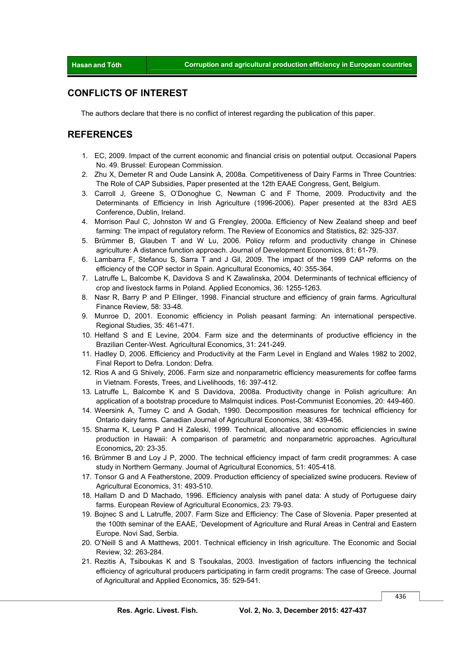## **CONFLICTS OF INTEREST**

The authors declare that there is no conflict of interest regarding the publication of this paper.

## **REFERENCES**

- 1. EC, 2009. Impact of the current economic and financial crisis on potential output. Occasional Papers No. 49. Brussel: European Commission.
- 2. Zhu X, Demeter R and Oude Lansink A, 2008a. Competitiveness of Dairy Farms in Three Countries: The Role of CAP Subsidies, Paper presented at the 12th EAAE Congress, Gent, Belgium.
- 3. Carroll J, Greene S, O'Donoghue C, Newman C and F Thorne, 2009. Productivity and the Determinants of Efficiency in Irish Agriculture (1996-2006). Paper presented at the 83rd AES Conference, Dublin, Ireland.
- 4. Morrison Paul C, Johnston W and G Frengley, 2000a. Efficiency of New Zealand sheep and beef farming: The impact of regulatory reform. The Review of Economics and Statistics**,** 82: 325-337.
- 5. Brümmer B, Glauben T and W Lu, 2006. Policy reform and productivity change in Chinese agriculture: A distance function approach. Journal of Development Economics, 81: 61-79.
- 6. Lambarra F, Stefanou S, Sarra T and J Gil, 2009. The impact of the 1999 CAP reforms on the efficiency of the COP sector in Spain. Agricultural Economics**,** 40: 355-364.
- 7. Latruffe L, Balcombe K, Davidova S and K Zawalinska, 2004. Determinants of technical efficiency of crop and livestock farms in Poland. Applied Economics, 36: 1255-1263.
- 8. Nasr R, Barry P and P Ellinger, 1998. Financial structure and efficiency of grain farms. Agricultural Finance Review, 58: 33-48.
- 9. Munroe D, 2001. Economic efficiency in Polish peasant farming: An international perspective. Regional Studies, 35: 461-471.
- 10. Helfand S and E Levine, 2004. Farm size and the determinants of productive efficiency in the Brazilian Center-West. Agricultural Economics, 31: 241-249.
- 11. Hadley D, 2006. Efficiency and Productivity at the Farm Level in England and Wales 1982 to 2002, Final Report to Defra. London: Defra.
- 12. Rios A and G Shively, 2006. Farm size and nonparametric efficiency measurements for coffee farms in Vietnam. Forests, Trees, and Livelihoods, 16: 397-412.
- 13. Latruffe L, Balcombe K and S Davidova, 2008a. Productivity change in Polish agriculture: An application of a bootstrap procedure to Malmquist indices. Post-Communist Economies, 20: 449-460.
- 14. Weersink A, Turney C and A Godah, 1990. Decomposition measures for technical efficiency for Ontario dairy farms. Canadian Journal of Agricultural Economics, 38: 439-456.
- 15. Sharma K, Leung P and H Zaleski, 1999. Technical, allocative and economic efficiencies in swine production in Hawaii: A comparison of parametric and nonparametric approaches. Agricultural Economics**,** 20: 23-35.
- 16. Brümmer B and Loy J P, 2000. The technical efficiency impact of farm credit programmes: A case study in Northern Germany. Journal of Agricultural Economics, 51: 405-418.
- 17. Tonsor G and A Featherstone, 2009. Production efficiency of specialized swine producers. Review of Agricultural Economics, 31: 493-510.
- 18. Hallam D and D Machado, 1996. Efficiency analysis with panel data: A study of Portuguese dairy farms. European Review of Agricultural Economics, 23: 79-93.
- 19. Bojnec S and L Latruffe, 2007. Farm Size and Efficiency: The Case of Slovenia. Paper presented at the 100th seminar of the EAAE, 'Development of Agriculture and Rural Areas in Central and Eastern Europe. Novi Sad, Serbia.
- 20. O'Neill S and A Matthews, 2001. Technical efficiency in Irish agriculture. The Economic and Social Review, 32: 263-284.
- 21. Rezitis A, Tsiboukas K and S Tsoukalas, 2003. Investigation of factors influencing the technical efficiency of agricultural producers participating in farm credit programs: The case of Greece. Journal of Agricultural and Applied Economics**,** 35: 529-541.